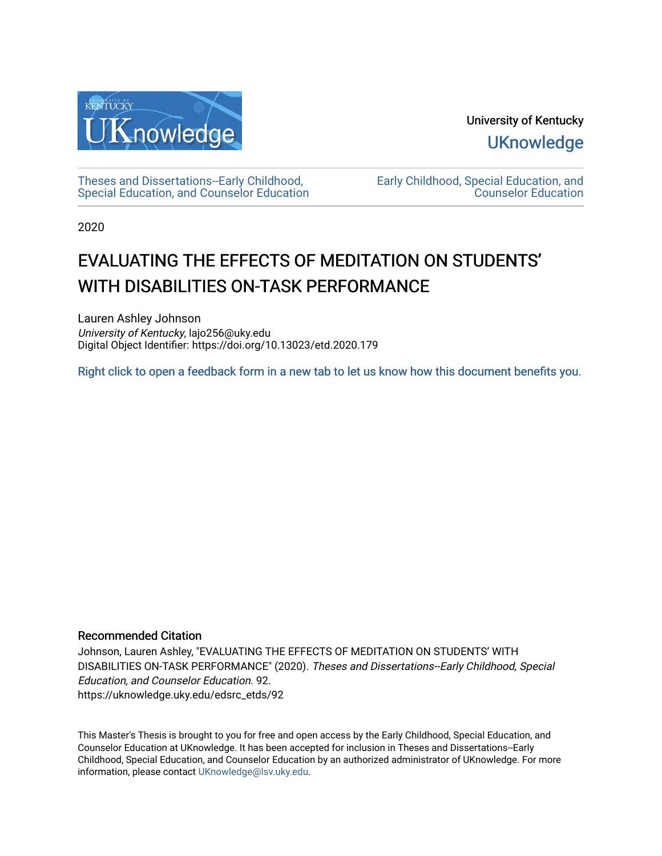

University of Kentucky **UKnowledge** 

[Theses and Dissertations--Early Childhood,](https://uknowledge.uky.edu/edsrc_etds)  [Special Education, and Counselor Education](https://uknowledge.uky.edu/edsrc_etds) [Early Childhood, Special Education, and](https://uknowledge.uky.edu/edsrc)  [Counselor Education](https://uknowledge.uky.edu/edsrc) 

2020

# EVALUATING THE EFFECTS OF MEDITATION ON STUDENTS' WITH DISABILITIES ON-TASK PERFORMANCE

Lauren Ashley Johnson University of Kentucky, lajo256@uky.edu Digital Object Identifier: https://doi.org/10.13023/etd.2020.179

[Right click to open a feedback form in a new tab to let us know how this document benefits you.](https://uky.az1.qualtrics.com/jfe/form/SV_9mq8fx2GnONRfz7)

#### Recommended Citation

Johnson, Lauren Ashley, "EVALUATING THE EFFECTS OF MEDITATION ON STUDENTS' WITH DISABILITIES ON-TASK PERFORMANCE" (2020). Theses and Dissertations--Early Childhood, Special Education, and Counselor Education. 92. https://uknowledge.uky.edu/edsrc\_etds/92

This Master's Thesis is brought to you for free and open access by the Early Childhood, Special Education, and Counselor Education at UKnowledge. It has been accepted for inclusion in Theses and Dissertations--Early Childhood, Special Education, and Counselor Education by an authorized administrator of UKnowledge. For more information, please contact [UKnowledge@lsv.uky.edu](mailto:UKnowledge@lsv.uky.edu).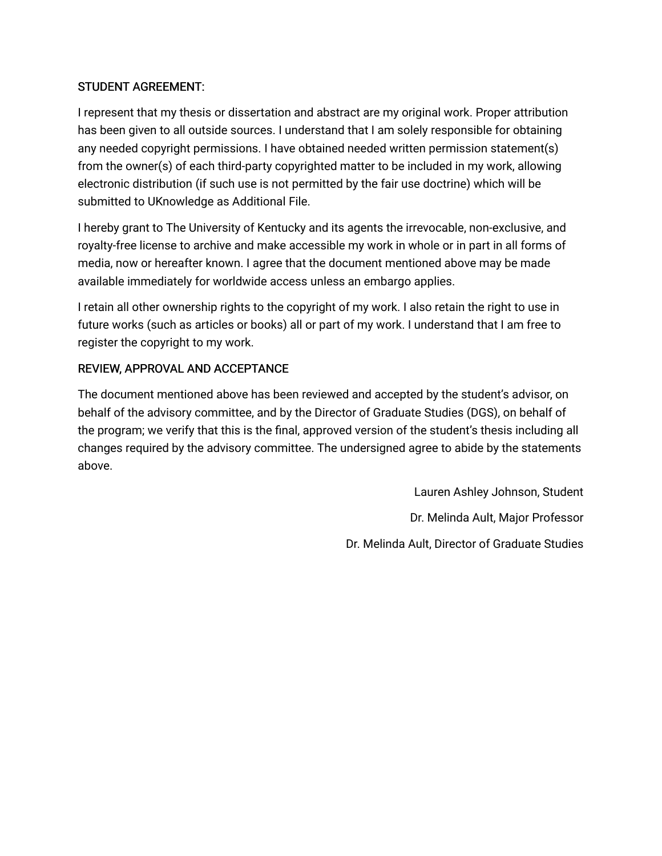# STUDENT AGREEMENT:

I represent that my thesis or dissertation and abstract are my original work. Proper attribution has been given to all outside sources. I understand that I am solely responsible for obtaining any needed copyright permissions. I have obtained needed written permission statement(s) from the owner(s) of each third-party copyrighted matter to be included in my work, allowing electronic distribution (if such use is not permitted by the fair use doctrine) which will be submitted to UKnowledge as Additional File.

I hereby grant to The University of Kentucky and its agents the irrevocable, non-exclusive, and royalty-free license to archive and make accessible my work in whole or in part in all forms of media, now or hereafter known. I agree that the document mentioned above may be made available immediately for worldwide access unless an embargo applies.

I retain all other ownership rights to the copyright of my work. I also retain the right to use in future works (such as articles or books) all or part of my work. I understand that I am free to register the copyright to my work.

# REVIEW, APPROVAL AND ACCEPTANCE

The document mentioned above has been reviewed and accepted by the student's advisor, on behalf of the advisory committee, and by the Director of Graduate Studies (DGS), on behalf of the program; we verify that this is the final, approved version of the student's thesis including all changes required by the advisory committee. The undersigned agree to abide by the statements above.

> Lauren Ashley Johnson, Student Dr. Melinda Ault, Major Professor Dr. Melinda Ault, Director of Graduate Studies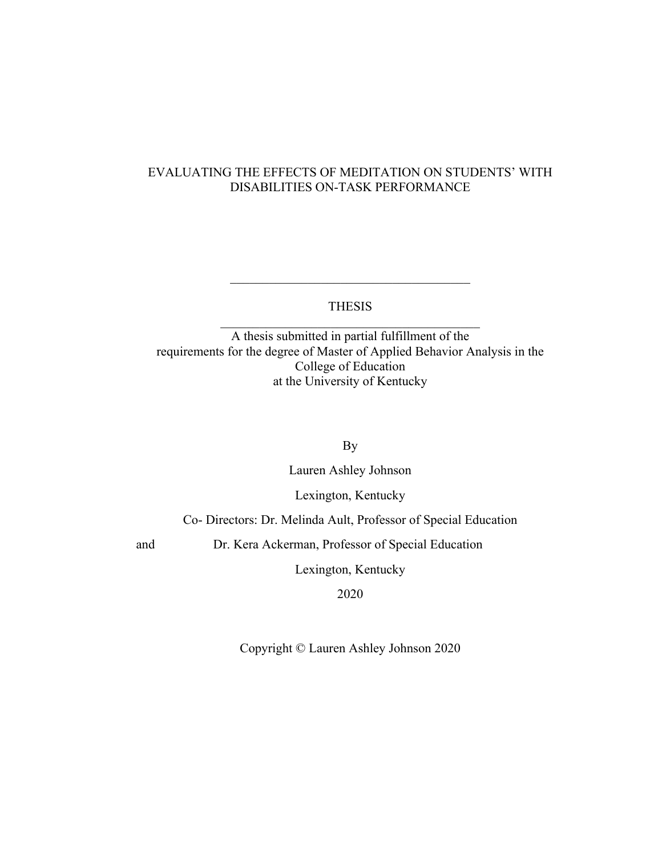# EVALUATING THE EFFECTS OF MEDITATION ON STUDENTS' WITH DISABILITIES ON-TASK PERFORMANCE

### THESIS

A thesis submitted in partial fulfillment of the requirements for the degree of Master of Applied Behavior Analysis in the College of Education at the University of Kentucky

By

Lauren Ashley Johnson

Lexington, Kentucky

Co- Directors: Dr. Melinda Ault, Professor of Special Education

and Dr. Kera Ackerman, Professor of Special Education

Lexington, Kentucky

2020

Copyright © Lauren Ashley Johnson 2020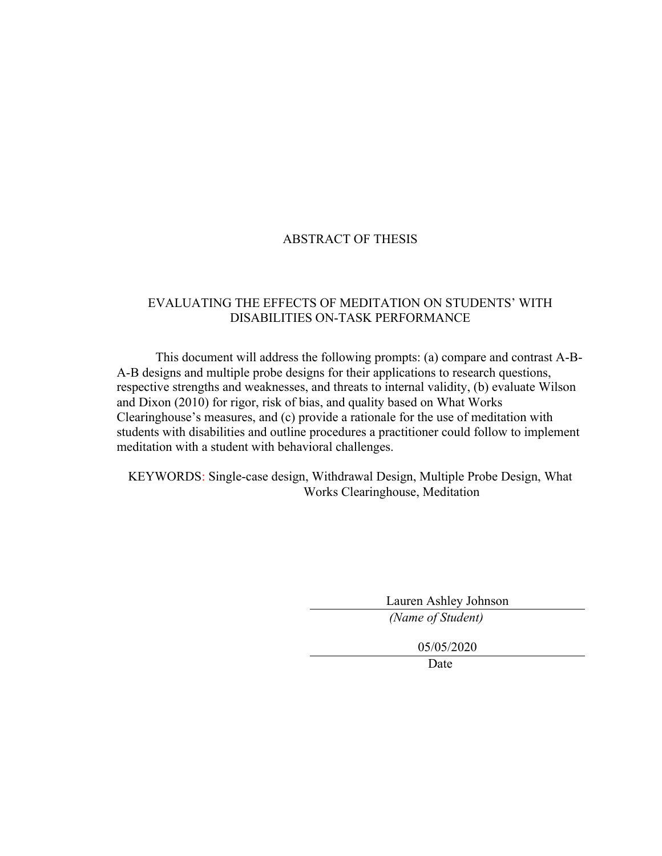### ABSTRACT OF THESIS

### EVALUATING THE EFFECTS OF MEDITATION ON STUDENTS' WITH DISABILITIES ON-TASK PERFORMANCE

This document will address the following prompts: (a) compare and contrast A-B-A-B designs and multiple probe designs for their applications to research questions, respective strengths and weaknesses, and threats to internal validity, (b) evaluate Wilson and Dixon (2010) for rigor, risk of bias, and quality based on What Works Clearinghouse's measures, and (c) provide a rationale for the use of meditation with students with disabilities and outline procedures a practitioner could follow to implement meditation with a student with behavioral challenges.

KEYWORDS: Single-case design, Withdrawal Design, Multiple Probe Design, What Works Clearinghouse, Meditation

> Lauren Ashley Johnson *(Name of Student)*

> > 05/05/2020

Date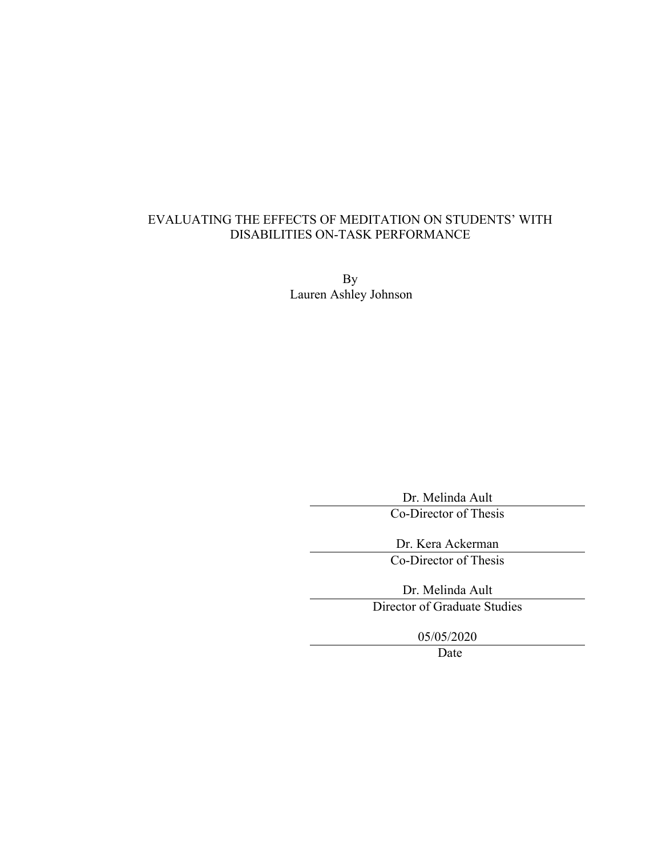# EVALUATING THE EFFECTS OF MEDITATION ON STUDENTS' WITH DISABILITIES ON-TASK PERFORMANCE

By Lauren Ashley Johnson

Dr. Melinda Ault

Co-Director of Thesis

Dr. Kera Ackerman Co-Director of Thesis

Dr. Melinda Ault Director of Graduate Studies

05/05/2020

Date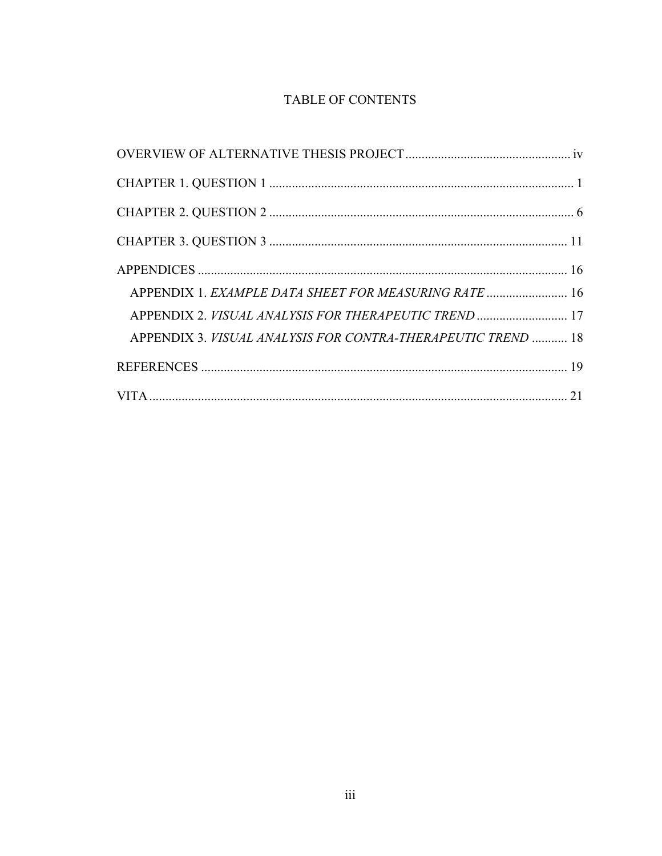# TABLE OF CONTENTS

| APPENDIX 1. EXAMPLE DATA SHEET FOR MEASURING RATE  16        |
|--------------------------------------------------------------|
| APPENDIX 2. VISUAL ANALYSIS FOR THERAPEUTIC TREND  17        |
| APPENDIX 3. VISUAL ANALYSIS FOR CONTRA-THERAPEUTIC TREND  18 |
|                                                              |
|                                                              |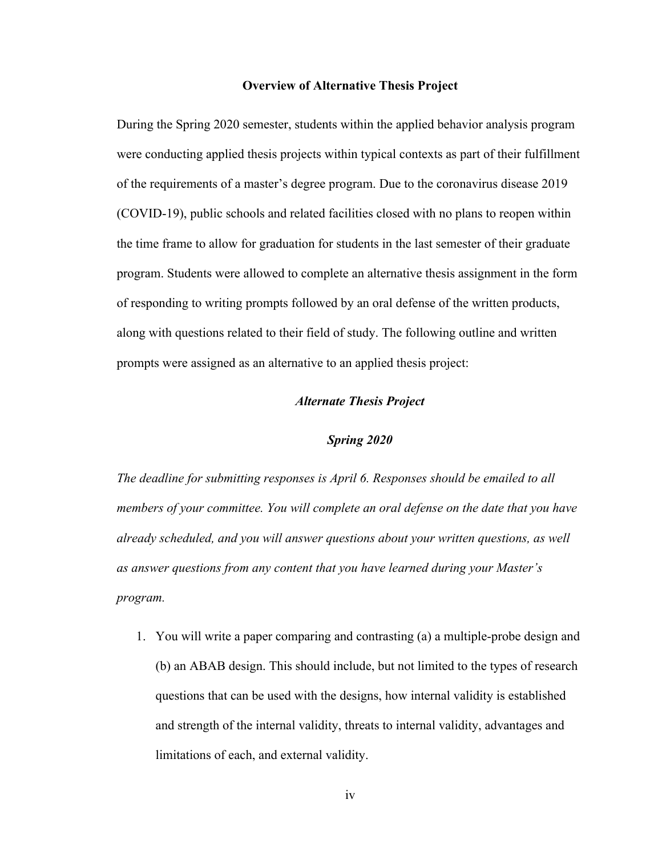#### **Overview of Alternative Thesis Project**

During the Spring 2020 semester, students within the applied behavior analysis program were conducting applied thesis projects within typical contexts as part of their fulfillment of the requirements of a master's degree program. Due to the coronavirus disease 2019 (COVID-19), public schools and related facilities closed with no plans to reopen within the time frame to allow for graduation for students in the last semester of their graduate program. Students were allowed to complete an alternative thesis assignment in the form of responding to writing prompts followed by an oral defense of the written products, along with questions related to their field of study. The following outline and written prompts were assigned as an alternative to an applied thesis project:

#### *Alternate Thesis Project*

#### *Spring 2020*

*The deadline for submitting responses is April 6. Responses should be emailed to all members of your committee. You will complete an oral defense on the date that you have already scheduled, and you will answer questions about your written questions, as well as answer questions from any content that you have learned during your Master's program.*

1. You will write a paper comparing and contrasting (a) a multiple-probe design and (b) an ABAB design. This should include, but not limited to the types of research questions that can be used with the designs, how internal validity is established and strength of the internal validity, threats to internal validity, advantages and limitations of each, and external validity.

iv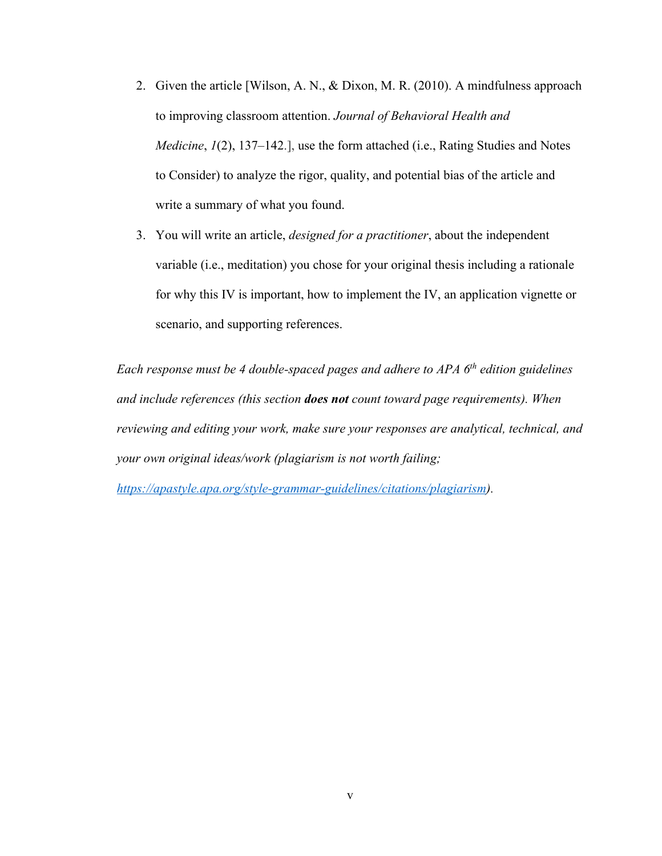- 2. Given the article [Wilson, A. N., & Dixon, M. R. (2010). A mindfulness approach to improving classroom attention. *Journal of Behavioral Health and Medicine*, *1*(2), 137–142.], use the form attached (i.e., Rating Studies and Notes to Consider) to analyze the rigor, quality, and potential bias of the article and write a summary of what you found.
- 3. You will write an article, *designed for a practitioner*, about the independent variable (i.e., meditation) you chose for your original thesis including a rationale for why this IV is important, how to implement the IV, an application vignette or scenario, and supporting references.

*Each response must be 4 double-spaced pages and adhere to APA 6th edition guidelines and include references (this section does not count toward page requirements). When reviewing and editing your work, make sure your responses are analytical, technical, and your own original ideas/work (plagiarism is not worth failing;*

*https://apastyle.apa.org/style-grammar-guidelines/citations/plagiarism).*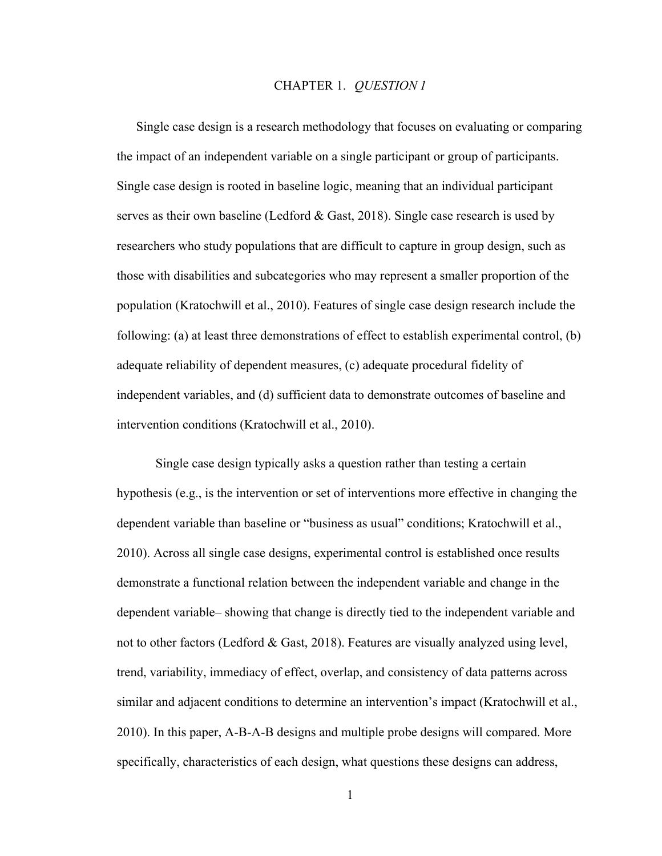#### CHAPTER 1. *QUESTION 1*

Single case design is a research methodology that focuses on evaluating or comparing the impact of an independent variable on a single participant or group of participants. Single case design is rooted in baseline logic, meaning that an individual participant serves as their own baseline (Ledford & Gast, 2018). Single case research is used by researchers who study populations that are difficult to capture in group design, such as those with disabilities and subcategories who may represent a smaller proportion of the population (Kratochwill et al., 2010). Features of single case design research include the following: (a) at least three demonstrations of effect to establish experimental control, (b) adequate reliability of dependent measures, (c) adequate procedural fidelity of independent variables, and (d) sufficient data to demonstrate outcomes of baseline and intervention conditions (Kratochwill et al., 2010).

Single case design typically asks a question rather than testing a certain hypothesis (e.g., is the intervention or set of interventions more effective in changing the dependent variable than baseline or "business as usual" conditions; Kratochwill et al., 2010). Across all single case designs, experimental control is established once results demonstrate a functional relation between the independent variable and change in the dependent variable– showing that change is directly tied to the independent variable and not to other factors (Ledford & Gast, 2018). Features are visually analyzed using level, trend, variability, immediacy of effect, overlap, and consistency of data patterns across similar and adjacent conditions to determine an intervention's impact (Kratochwill et al., 2010). In this paper, A-B-A-B designs and multiple probe designs will compared. More specifically, characteristics of each design, what questions these designs can address,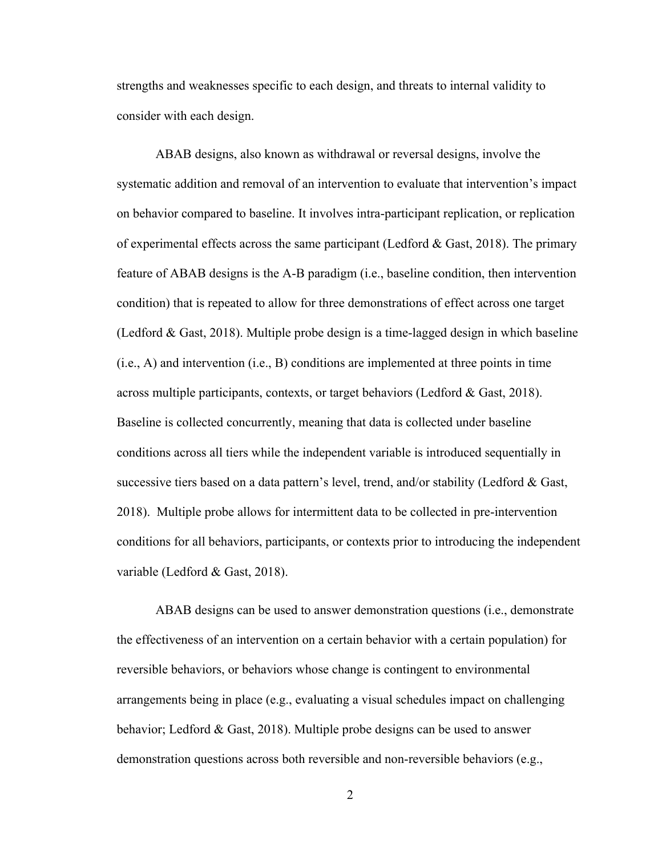strengths and weaknesses specific to each design, and threats to internal validity to consider with each design.

ABAB designs, also known as withdrawal or reversal designs, involve the systematic addition and removal of an intervention to evaluate that intervention's impact on behavior compared to baseline. It involves intra-participant replication, or replication of experimental effects across the same participant (Ledford & Gast, 2018). The primary feature of ABAB designs is the A-B paradigm (i.e., baseline condition, then intervention condition) that is repeated to allow for three demonstrations of effect across one target (Ledford & Gast, 2018). Multiple probe design is a time-lagged design in which baseline (i.e., A) and intervention (i.e., B) conditions are implemented at three points in time across multiple participants, contexts, or target behaviors (Ledford & Gast, 2018). Baseline is collected concurrently, meaning that data is collected under baseline conditions across all tiers while the independent variable is introduced sequentially in successive tiers based on a data pattern's level, trend, and/or stability (Ledford  $\&$  Gast, 2018). Multiple probe allows for intermittent data to be collected in pre-intervention conditions for all behaviors, participants, or contexts prior to introducing the independent variable (Ledford & Gast, 2018).

ABAB designs can be used to answer demonstration questions (i.e., demonstrate the effectiveness of an intervention on a certain behavior with a certain population) for reversible behaviors, or behaviors whose change is contingent to environmental arrangements being in place (e.g., evaluating a visual schedules impact on challenging behavior; Ledford & Gast, 2018). Multiple probe designs can be used to answer demonstration questions across both reversible and non-reversible behaviors (e.g.,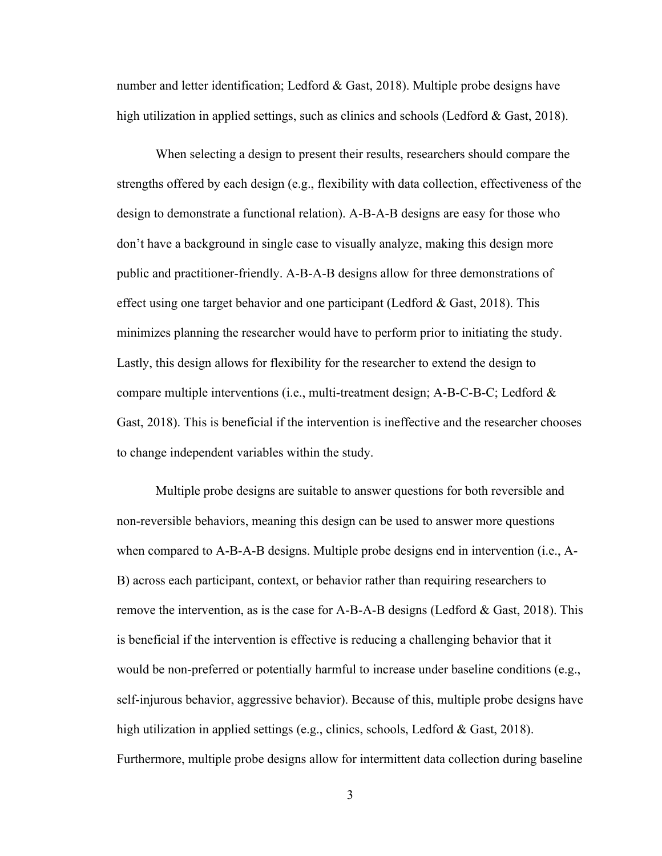number and letter identification; Ledford & Gast, 2018). Multiple probe designs have high utilization in applied settings, such as clinics and schools (Ledford & Gast, 2018).

When selecting a design to present their results, researchers should compare the strengths offered by each design (e.g., flexibility with data collection, effectiveness of the design to demonstrate a functional relation). A-B-A-B designs are easy for those who don't have a background in single case to visually analyze, making this design more public and practitioner-friendly. A-B-A-B designs allow for three demonstrations of effect using one target behavior and one participant (Ledford  $&$  Gast, 2018). This minimizes planning the researcher would have to perform prior to initiating the study. Lastly, this design allows for flexibility for the researcher to extend the design to compare multiple interventions (i.e., multi-treatment design; A-B-C-B-C; Ledford  $\&$ Gast, 2018). This is beneficial if the intervention is ineffective and the researcher chooses to change independent variables within the study.

Multiple probe designs are suitable to answer questions for both reversible and non-reversible behaviors, meaning this design can be used to answer more questions when compared to A-B-A-B designs. Multiple probe designs end in intervention (i.e., A-B) across each participant, context, or behavior rather than requiring researchers to remove the intervention, as is the case for A-B-A-B designs (Ledford & Gast, 2018). This is beneficial if the intervention is effective is reducing a challenging behavior that it would be non-preferred or potentially harmful to increase under baseline conditions (e.g., self-injurous behavior, aggressive behavior). Because of this, multiple probe designs have high utilization in applied settings (e.g., clinics, schools, Ledford & Gast, 2018). Furthermore, multiple probe designs allow for intermittent data collection during baseline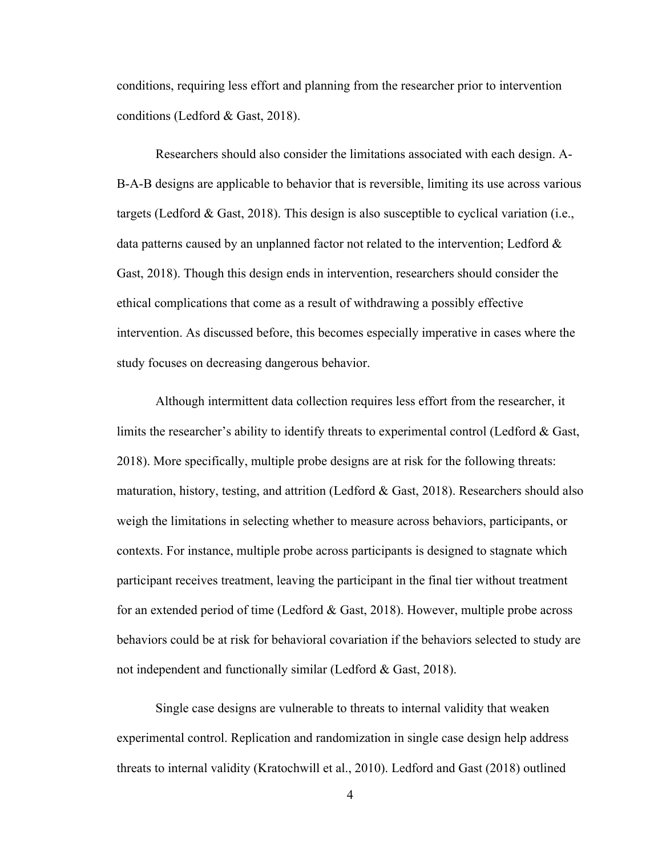conditions, requiring less effort and planning from the researcher prior to intervention conditions (Ledford & Gast, 2018).

Researchers should also consider the limitations associated with each design. A-B-A-B designs are applicable to behavior that is reversible, limiting its use across various targets (Ledford & Gast, 2018). This design is also susceptible to cyclical variation (i.e., data patterns caused by an unplanned factor not related to the intervention; Ledford & Gast, 2018). Though this design ends in intervention, researchers should consider the ethical complications that come as a result of withdrawing a possibly effective intervention. As discussed before, this becomes especially imperative in cases where the study focuses on decreasing dangerous behavior.

Although intermittent data collection requires less effort from the researcher, it limits the researcher's ability to identify threats to experimental control (Ledford & Gast, 2018). More specifically, multiple probe designs are at risk for the following threats: maturation, history, testing, and attrition (Ledford & Gast, 2018). Researchers should also weigh the limitations in selecting whether to measure across behaviors, participants, or contexts. For instance, multiple probe across participants is designed to stagnate which participant receives treatment, leaving the participant in the final tier without treatment for an extended period of time (Ledford & Gast, 2018). However, multiple probe across behaviors could be at risk for behavioral covariation if the behaviors selected to study are not independent and functionally similar (Ledford & Gast, 2018).

Single case designs are vulnerable to threats to internal validity that weaken experimental control. Replication and randomization in single case design help address threats to internal validity (Kratochwill et al., 2010). Ledford and Gast (2018) outlined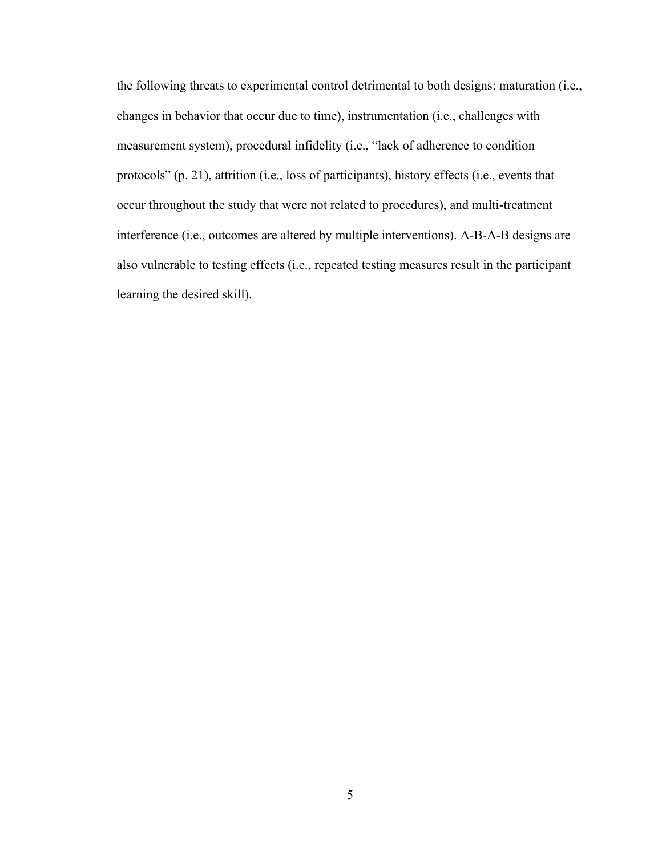the following threats to experimental control detrimental to both designs: maturation (i.e., changes in behavior that occur due to time), instrumentation (i.e., challenges with measurement system), procedural infidelity (i.e., "lack of adherence to condition protocols" (p. 21), attrition (i.e., loss of participants), history effects (i.e., events that occur throughout the study that were not related to procedures), and multi-treatment interference (i.e., outcomes are altered by multiple interventions). A-B-A-B designs are also vulnerable to testing effects (i.e., repeated testing measures result in the participant learning the desired skill).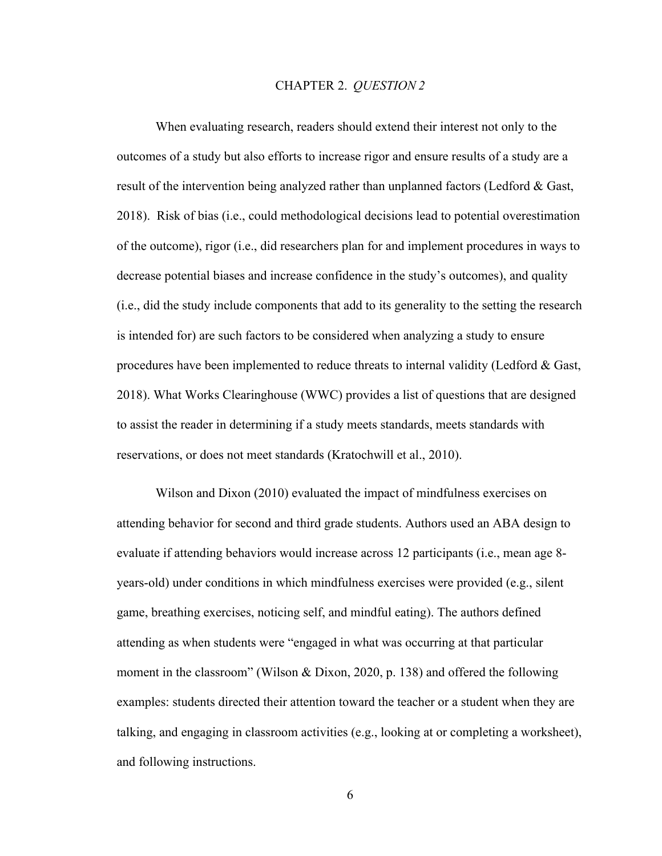#### CHAPTER 2. *QUESTION 2*

When evaluating research, readers should extend their interest not only to the outcomes of a study but also efforts to increase rigor and ensure results of a study are a result of the intervention being analyzed rather than unplanned factors (Ledford & Gast, 2018). Risk of bias (i.e., could methodological decisions lead to potential overestimation of the outcome), rigor (i.e., did researchers plan for and implement procedures in ways to decrease potential biases and increase confidence in the study's outcomes), and quality (i.e., did the study include components that add to its generality to the setting the research is intended for) are such factors to be considered when analyzing a study to ensure procedures have been implemented to reduce threats to internal validity (Ledford & Gast, 2018). What Works Clearinghouse (WWC) provides a list of questions that are designed to assist the reader in determining if a study meets standards, meets standards with reservations, or does not meet standards (Kratochwill et al., 2010).

Wilson and Dixon (2010) evaluated the impact of mindfulness exercises on attending behavior for second and third grade students. Authors used an ABA design to evaluate if attending behaviors would increase across 12 participants (i.e., mean age 8 years-old) under conditions in which mindfulness exercises were provided (e.g., silent game, breathing exercises, noticing self, and mindful eating). The authors defined attending as when students were "engaged in what was occurring at that particular moment in the classroom" (Wilson & Dixon, 2020, p. 138) and offered the following examples: students directed their attention toward the teacher or a student when they are talking, and engaging in classroom activities (e.g., looking at or completing a worksheet), and following instructions.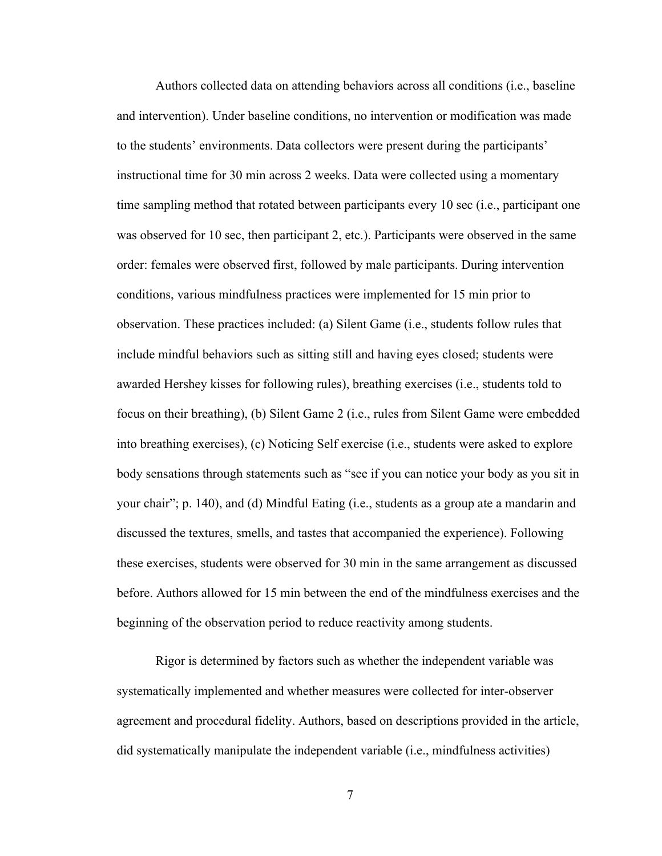Authors collected data on attending behaviors across all conditions (i.e., baseline and intervention). Under baseline conditions, no intervention or modification was made to the students' environments. Data collectors were present during the participants' instructional time for 30 min across 2 weeks. Data were collected using a momentary time sampling method that rotated between participants every 10 sec (i.e., participant one was observed for 10 sec, then participant 2, etc.). Participants were observed in the same order: females were observed first, followed by male participants. During intervention conditions, various mindfulness practices were implemented for 15 min prior to observation. These practices included: (a) Silent Game (i.e., students follow rules that include mindful behaviors such as sitting still and having eyes closed; students were awarded Hershey kisses for following rules), breathing exercises (i.e., students told to focus on their breathing), (b) Silent Game 2 (i.e., rules from Silent Game were embedded into breathing exercises), (c) Noticing Self exercise (i.e., students were asked to explore body sensations through statements such as "see if you can notice your body as you sit in your chair"; p. 140), and (d) Mindful Eating (i.e., students as a group ate a mandarin and discussed the textures, smells, and tastes that accompanied the experience). Following these exercises, students were observed for 30 min in the same arrangement as discussed before. Authors allowed for 15 min between the end of the mindfulness exercises and the beginning of the observation period to reduce reactivity among students.

Rigor is determined by factors such as whether the independent variable was systematically implemented and whether measures were collected for inter-observer agreement and procedural fidelity. Authors, based on descriptions provided in the article, did systematically manipulate the independent variable (i.e., mindfulness activities)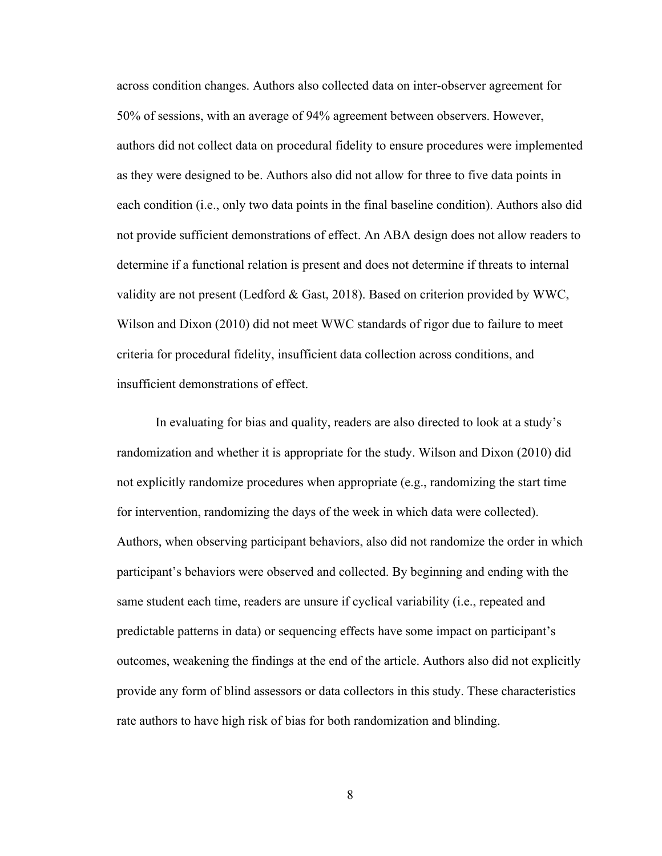across condition changes. Authors also collected data on inter-observer agreement for 50% of sessions, with an average of 94% agreement between observers. However, authors did not collect data on procedural fidelity to ensure procedures were implemented as they were designed to be. Authors also did not allow for three to five data points in each condition (i.e., only two data points in the final baseline condition). Authors also did not provide sufficient demonstrations of effect. An ABA design does not allow readers to determine if a functional relation is present and does not determine if threats to internal validity are not present (Ledford & Gast, 2018). Based on criterion provided by WWC, Wilson and Dixon (2010) did not meet WWC standards of rigor due to failure to meet criteria for procedural fidelity, insufficient data collection across conditions, and insufficient demonstrations of effect.

In evaluating for bias and quality, readers are also directed to look at a study's randomization and whether it is appropriate for the study. Wilson and Dixon (2010) did not explicitly randomize procedures when appropriate (e.g., randomizing the start time for intervention, randomizing the days of the week in which data were collected). Authors, when observing participant behaviors, also did not randomize the order in which participant's behaviors were observed and collected. By beginning and ending with the same student each time, readers are unsure if cyclical variability (i.e., repeated and predictable patterns in data) or sequencing effects have some impact on participant's outcomes, weakening the findings at the end of the article. Authors also did not explicitly provide any form of blind assessors or data collectors in this study. These characteristics rate authors to have high risk of bias for both randomization and blinding.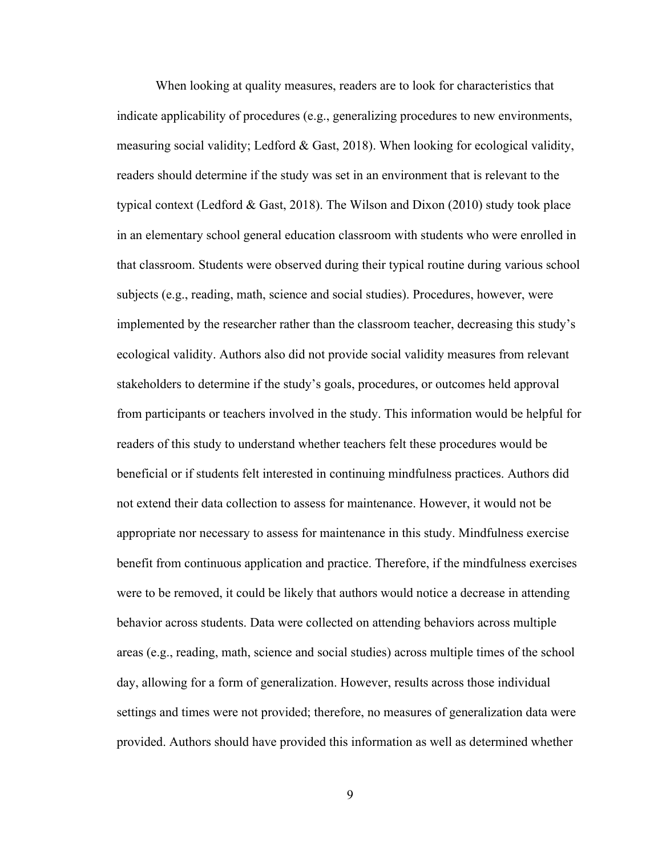When looking at quality measures, readers are to look for characteristics that indicate applicability of procedures (e.g., generalizing procedures to new environments, measuring social validity; Ledford & Gast, 2018). When looking for ecological validity, readers should determine if the study was set in an environment that is relevant to the typical context (Ledford & Gast, 2018). The Wilson and Dixon (2010) study took place in an elementary school general education classroom with students who were enrolled in that classroom. Students were observed during their typical routine during various school subjects (e.g., reading, math, science and social studies). Procedures, however, were implemented by the researcher rather than the classroom teacher, decreasing this study's ecological validity. Authors also did not provide social validity measures from relevant stakeholders to determine if the study's goals, procedures, or outcomes held approval from participants or teachers involved in the study. This information would be helpful for readers of this study to understand whether teachers felt these procedures would be beneficial or if students felt interested in continuing mindfulness practices. Authors did not extend their data collection to assess for maintenance. However, it would not be appropriate nor necessary to assess for maintenance in this study. Mindfulness exercise benefit from continuous application and practice. Therefore, if the mindfulness exercises were to be removed, it could be likely that authors would notice a decrease in attending behavior across students. Data were collected on attending behaviors across multiple areas (e.g., reading, math, science and social studies) across multiple times of the school day, allowing for a form of generalization. However, results across those individual settings and times were not provided; therefore, no measures of generalization data were provided. Authors should have provided this information as well as determined whether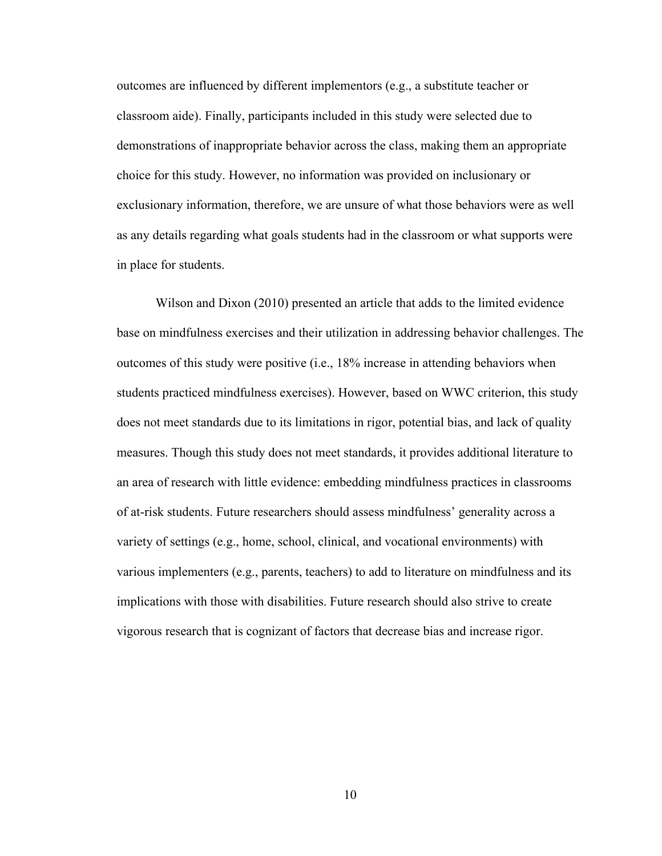outcomes are influenced by different implementors (e.g., a substitute teacher or classroom aide). Finally, participants included in this study were selected due to demonstrations of inappropriate behavior across the class, making them an appropriate choice for this study. However, no information was provided on inclusionary or exclusionary information, therefore, we are unsure of what those behaviors were as well as any details regarding what goals students had in the classroom or what supports were in place for students.

Wilson and Dixon (2010) presented an article that adds to the limited evidence base on mindfulness exercises and their utilization in addressing behavior challenges. The outcomes of this study were positive (i.e., 18% increase in attending behaviors when students practiced mindfulness exercises). However, based on WWC criterion, this study does not meet standards due to its limitations in rigor, potential bias, and lack of quality measures. Though this study does not meet standards, it provides additional literature to an area of research with little evidence: embedding mindfulness practices in classrooms of at-risk students. Future researchers should assess mindfulness' generality across a variety of settings (e.g., home, school, clinical, and vocational environments) with various implementers (e.g., parents, teachers) to add to literature on mindfulness and its implications with those with disabilities. Future research should also strive to create vigorous research that is cognizant of factors that decrease bias and increase rigor.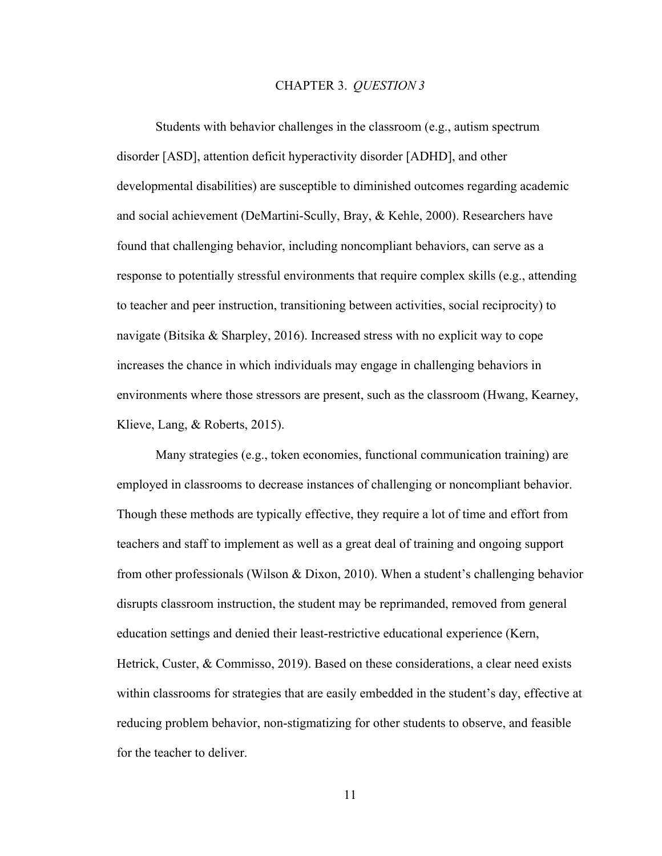#### CHAPTER 3. *QUESTION 3*

Students with behavior challenges in the classroom (e.g., autism spectrum disorder [ASD], attention deficit hyperactivity disorder [ADHD], and other developmental disabilities) are susceptible to diminished outcomes regarding academic and social achievement (DeMartini-Scully, Bray, & Kehle, 2000). Researchers have found that challenging behavior, including noncompliant behaviors, can serve as a response to potentially stressful environments that require complex skills (e.g., attending to teacher and peer instruction, transitioning between activities, social reciprocity) to navigate (Bitsika & Sharpley, 2016). Increased stress with no explicit way to cope increases the chance in which individuals may engage in challenging behaviors in environments where those stressors are present, such as the classroom (Hwang, Kearney, Klieve, Lang, & Roberts, 2015).

Many strategies (e.g., token economies, functional communication training) are employed in classrooms to decrease instances of challenging or noncompliant behavior. Though these methods are typically effective, they require a lot of time and effort from teachers and staff to implement as well as a great deal of training and ongoing support from other professionals (Wilson & Dixon, 2010). When a student's challenging behavior disrupts classroom instruction, the student may be reprimanded, removed from general education settings and denied their least-restrictive educational experience (Kern, Hetrick, Custer, & Commisso, 2019). Based on these considerations, a clear need exists within classrooms for strategies that are easily embedded in the student's day, effective at reducing problem behavior, non-stigmatizing for other students to observe, and feasible for the teacher to deliver.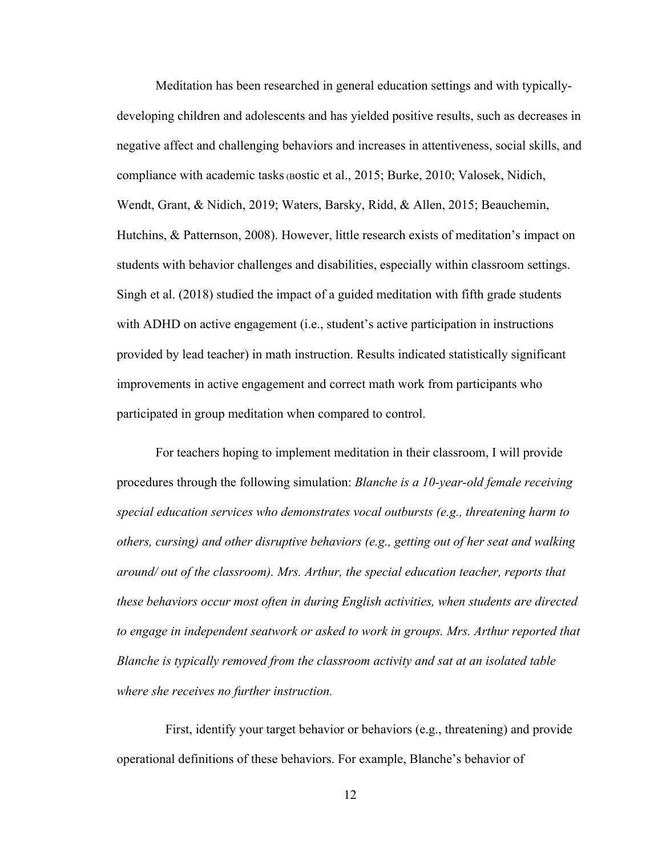Meditation has been researched in general education settings and with typicallydeveloping children and adolescents and has yielded positive results, such as decreases in negative affect and challenging behaviors and increases in attentiveness, social skills, and compliance with academic tasks (Bostic et al., 2015; Burke, 2010; Valosek, Nidich, Wendt, Grant, & Nidich, 2019; Waters, Barsky, Ridd, & Allen, 2015; Beauchemin, Hutchins, & Patternson, 2008). However, little research exists of meditation's impact on students with behavior challenges and disabilities, especially within classroom settings. Singh et al. (2018) studied the impact of a guided meditation with fifth grade students with ADHD on active engagement (i.e., student's active participation in instructions provided by lead teacher) in math instruction. Results indicated statistically significant improvements in active engagement and correct math work from participants who participated in group meditation when compared to control.

For teachers hoping to implement meditation in their classroom, I will provide procedures through the following simulation: *Blanche is a 10-year-old female receiving special education services who demonstrates vocal outbursts (e.g., threatening harm to others, cursing) and other disruptive behaviors (e.g., getting out of her seat and walking around/ out of the classroom). Mrs. Arthur, the special education teacher, reports that these behaviors occur most often in during English activities, when students are directed*  to engage in independent seatwork or asked to work in groups. Mrs. Arthur reported that *Blanche is typically removed from the classroom activity and sat at an isolated table where she receives no further instruction.*

 First, identify your target behavior or behaviors (e.g., threatening) and provide operational definitions of these behaviors. For example, Blanche's behavior of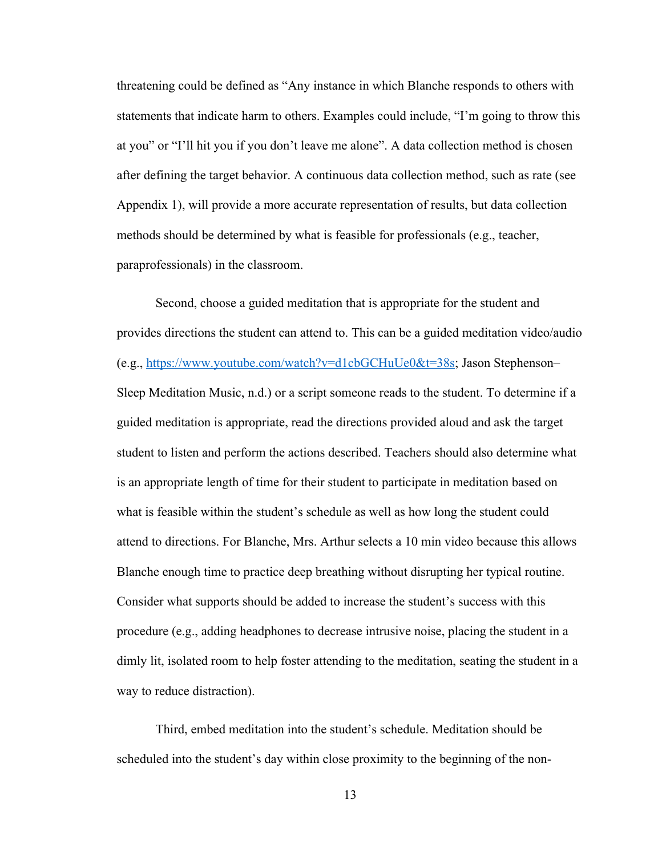threatening could be defined as "Any instance in which Blanche responds to others with statements that indicate harm to others. Examples could include, "I'm going to throw this at you" or "I'll hit you if you don't leave me alone". A data collection method is chosen after defining the target behavior. A continuous data collection method, such as rate (see Appendix 1), will provide a more accurate representation of results, but data collection methods should be determined by what is feasible for professionals (e.g., teacher, paraprofessionals) in the classroom.

Second, choose a guided meditation that is appropriate for the student and provides directions the student can attend to. This can be a guided meditation video/audio (e.g., https://www.youtube.com/watch?v=d1cbGCHuUe0&t=38s; Jason Stephenson– Sleep Meditation Music, n.d.) or a script someone reads to the student. To determine if a guided meditation is appropriate, read the directions provided aloud and ask the target student to listen and perform the actions described. Teachers should also determine what is an appropriate length of time for their student to participate in meditation based on what is feasible within the student's schedule as well as how long the student could attend to directions. For Blanche, Mrs. Arthur selects a 10 min video because this allows Blanche enough time to practice deep breathing without disrupting her typical routine. Consider what supports should be added to increase the student's success with this procedure (e.g., adding headphones to decrease intrusive noise, placing the student in a dimly lit, isolated room to help foster attending to the meditation, seating the student in a way to reduce distraction).

Third, embed meditation into the student's schedule. Meditation should be scheduled into the student's day within close proximity to the beginning of the non-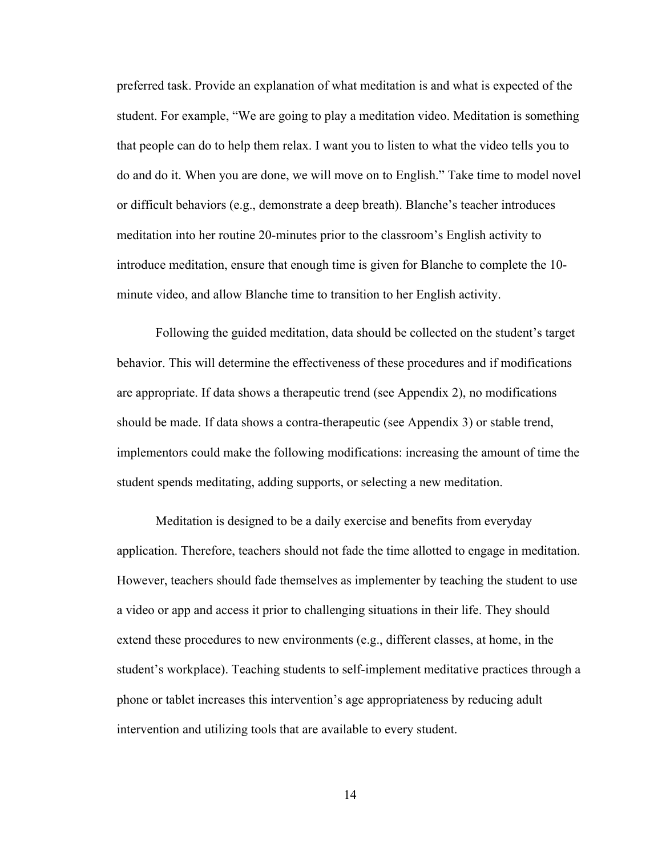preferred task. Provide an explanation of what meditation is and what is expected of the student. For example, "We are going to play a meditation video. Meditation is something that people can do to help them relax. I want you to listen to what the video tells you to do and do it. When you are done, we will move on to English." Take time to model novel or difficult behaviors (e.g., demonstrate a deep breath). Blanche's teacher introduces meditation into her routine 20-minutes prior to the classroom's English activity to introduce meditation, ensure that enough time is given for Blanche to complete the 10 minute video, and allow Blanche time to transition to her English activity.

Following the guided meditation, data should be collected on the student's target behavior. This will determine the effectiveness of these procedures and if modifications are appropriate. If data shows a therapeutic trend (see Appendix 2), no modifications should be made. If data shows a contra-therapeutic (see Appendix 3) or stable trend, implementors could make the following modifications: increasing the amount of time the student spends meditating, adding supports, or selecting a new meditation.

Meditation is designed to be a daily exercise and benefits from everyday application. Therefore, teachers should not fade the time allotted to engage in meditation. However, teachers should fade themselves as implementer by teaching the student to use a video or app and access it prior to challenging situations in their life. They should extend these procedures to new environments (e.g., different classes, at home, in the student's workplace). Teaching students to self-implement meditative practices through a phone or tablet increases this intervention's age appropriateness by reducing adult intervention and utilizing tools that are available to every student.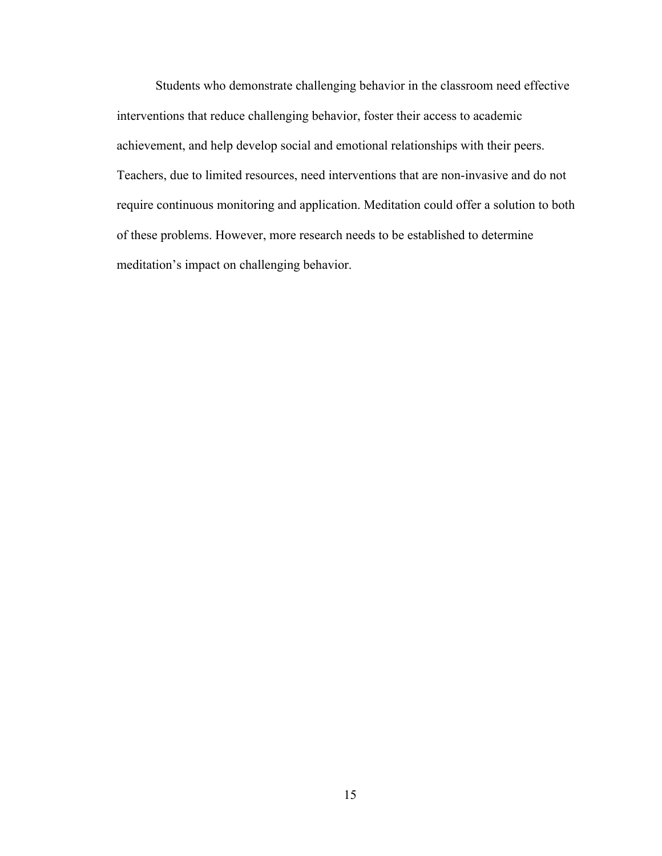Students who demonstrate challenging behavior in the classroom need effective interventions that reduce challenging behavior, foster their access to academic achievement, and help develop social and emotional relationships with their peers. Teachers, due to limited resources, need interventions that are non-invasive and do not require continuous monitoring and application. Meditation could offer a solution to both of these problems. However, more research needs to be established to determine meditation's impact on challenging behavior.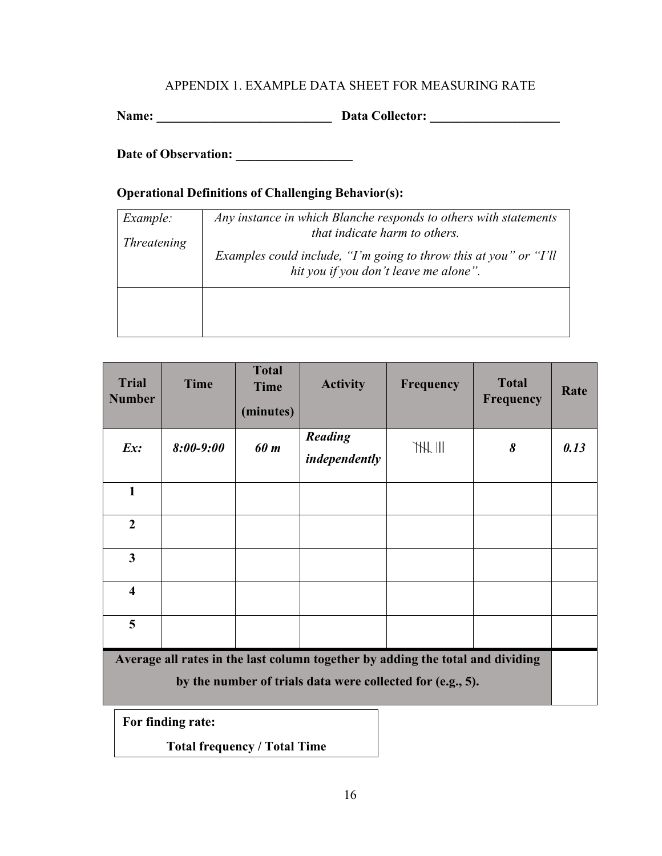# APPENDIX 1. EXAMPLE DATA SHEET FOR MEASURING RATE

**Name: \_\_\_\_\_\_\_\_\_\_\_\_\_\_\_\_\_\_\_\_\_\_\_\_\_\_\_ Data Collector: \_\_\_\_\_\_\_\_\_\_\_\_\_\_\_\_\_\_\_\_**

**Date of Observation: \_\_\_\_\_\_\_\_\_\_\_\_\_\_\_\_\_\_** 

# **Operational Definitions of Challenging Behavior(s):**

| Example:           | Any instance in which Blanche responds to others with statements<br>that indicate harm to others.          |  |  |  |  |
|--------------------|------------------------------------------------------------------------------------------------------------|--|--|--|--|
| <i>Threatening</i> |                                                                                                            |  |  |  |  |
|                    | Examples could include, "I'm going to throw this at you" or "I'll<br>hit you if you don't leave me alone". |  |  |  |  |
|                    |                                                                                                            |  |  |  |  |
|                    |                                                                                                            |  |  |  |  |
|                    |                                                                                                            |  |  |  |  |
|                    |                                                                                                            |  |  |  |  |

| <b>Trial</b><br><b>Number</b>                                                                                                                | <b>Time</b>   | <b>Total</b><br><b>Time</b><br>(minutes) | <b>Activity</b>                 | <b>Frequency</b> | <b>Total</b><br><b>Frequency</b> | Rate |
|----------------------------------------------------------------------------------------------------------------------------------------------|---------------|------------------------------------------|---------------------------------|------------------|----------------------------------|------|
| Ex:                                                                                                                                          | $8:00 - 9:00$ | 60 m                                     | <b>Reading</b><br>independently | H                | 8                                | 0.13 |
| $\mathbf{1}$                                                                                                                                 |               |                                          |                                 |                  |                                  |      |
| $\overline{2}$                                                                                                                               |               |                                          |                                 |                  |                                  |      |
| 3                                                                                                                                            |               |                                          |                                 |                  |                                  |      |
| $\overline{\mathbf{4}}$                                                                                                                      |               |                                          |                                 |                  |                                  |      |
| 5                                                                                                                                            |               |                                          |                                 |                  |                                  |      |
| Average all rates in the last column together by adding the total and dividing<br>by the number of trials data were collected for (e.g., 5). |               |                                          |                                 |                  |                                  |      |

**For finding rate:** 

**Total frequency / Total Time**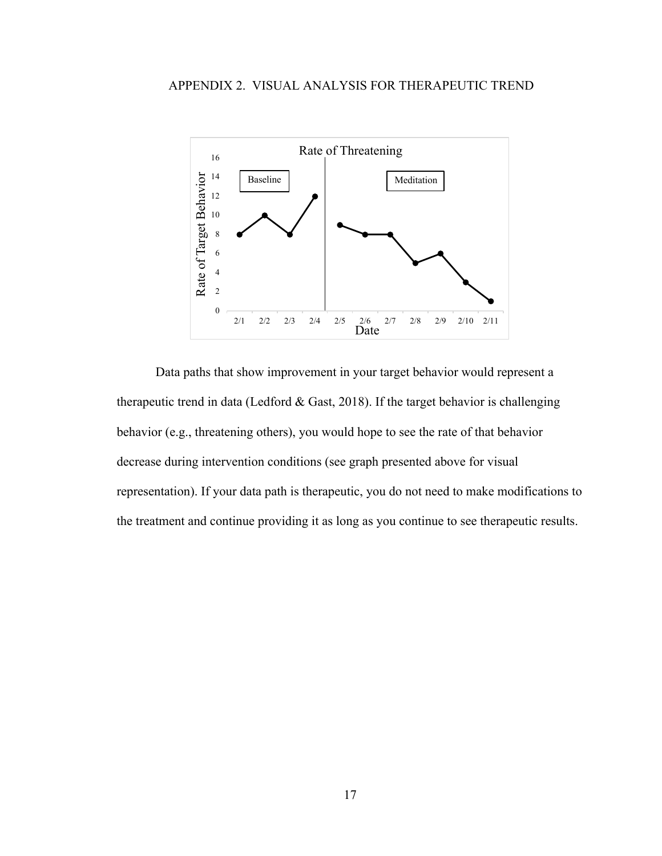

Data paths that show improvement in your target behavior would represent a therapeutic trend in data (Ledford  $& Gast, 2018$ ). If the target behavior is challenging behavior (e.g., threatening others), you would hope to see the rate of that behavior decrease during intervention conditions (see graph presented above for visual representation). If your data path is therapeutic, you do not need to make modifications to the treatment and continue providing it as long as you continue to see therapeutic results.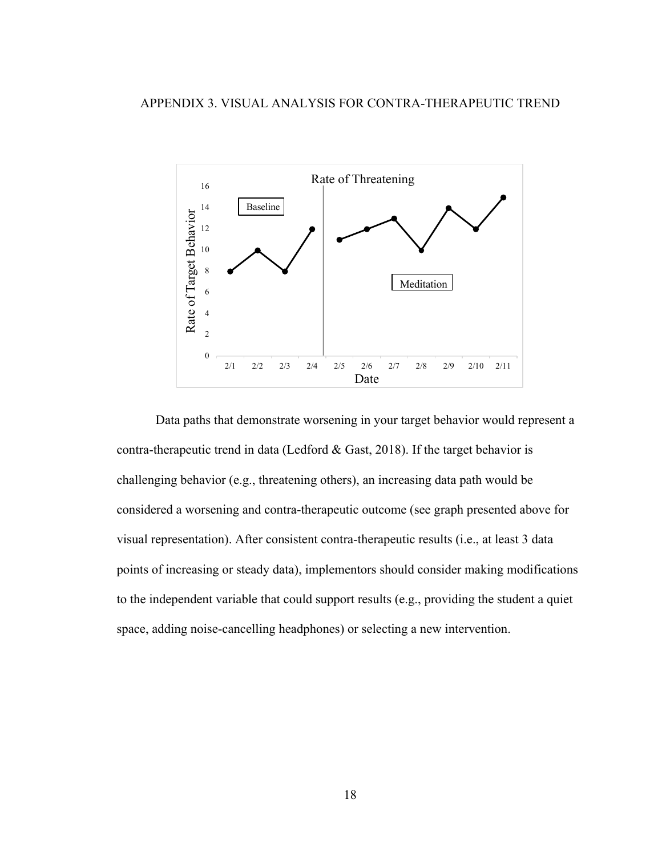

Data paths that demonstrate worsening in your target behavior would represent a contra-therapeutic trend in data (Ledford & Gast, 2018). If the target behavior is challenging behavior (e.g., threatening others), an increasing data path would be considered a worsening and contra-therapeutic outcome (see graph presented above for visual representation). After consistent contra-therapeutic results (i.e., at least 3 data points of increasing or steady data), implementors should consider making modifications to the independent variable that could support results (e.g., providing the student a quiet space, adding noise-cancelling headphones) or selecting a new intervention.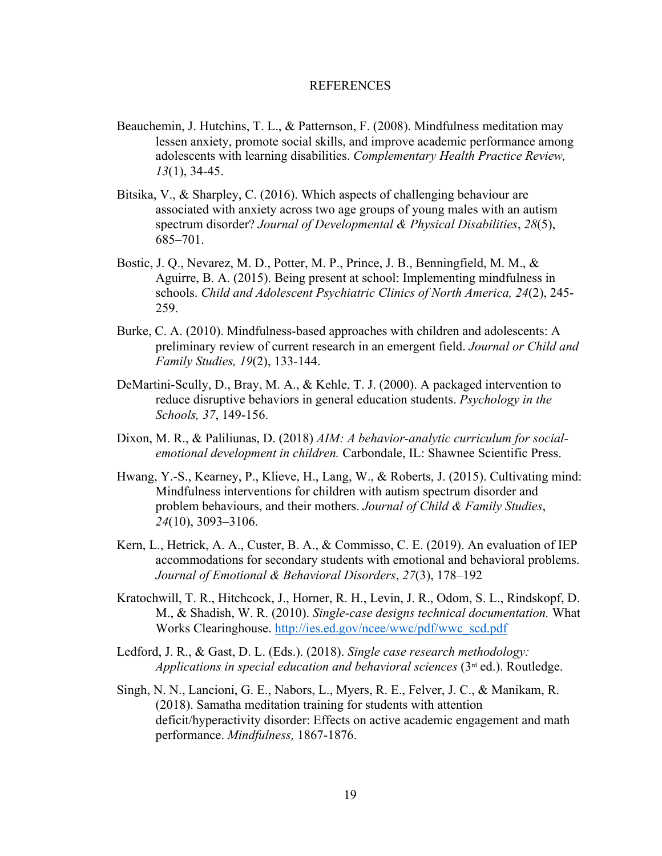#### REFERENCES

- Beauchemin, J. Hutchins, T. L., & Patternson, F. (2008). Mindfulness meditation may lessen anxiety, promote social skills, and improve academic performance among adolescents with learning disabilities. *Complementary Health Practice Review, 13*(1), 34-45.
- Bitsika, V., & Sharpley, C. (2016). Which aspects of challenging behaviour are associated with anxiety across two age groups of young males with an autism spectrum disorder? *Journal of Developmental & Physical Disabilities*, *28*(5), 685–701.
- Bostic, J. Q., Nevarez, M. D., Potter, M. P., Prince, J. B., Benningfield, M. M., & Aguirre, B. A. (2015). Being present at school: Implementing mindfulness in schools. *Child and Adolescent Psychiatric Clinics of North America, 24*(2), 245- 259.
- Burke, C. A. (2010). Mindfulness-based approaches with children and adolescents: A preliminary review of current research in an emergent field. *Journal or Child and Family Studies, 19*(2), 133-144.
- DeMartini-Scully, D., Bray, M. A., & Kehle, T. J. (2000). A packaged intervention to reduce disruptive behaviors in general education students. *Psychology in the Schools, 37*, 149-156.
- Dixon, M. R., & Paliliunas, D. (2018) *AIM: A behavior-analytic curriculum for socialemotional development in children.* Carbondale, IL: Shawnee Scientific Press.
- Hwang, Y.-S., Kearney, P., Klieve, H., Lang, W., & Roberts, J. (2015). Cultivating mind: Mindfulness interventions for children with autism spectrum disorder and problem behaviours, and their mothers. *Journal of Child & Family Studies*, *24*(10), 3093–3106.
- Kern, L., Hetrick, A. A., Custer, B. A., & Commisso, C. E. (2019). An evaluation of IEP accommodations for secondary students with emotional and behavioral problems. *Journal of Emotional & Behavioral Disorders*, *27*(3), 178–192
- Kratochwill, T. R., Hitchcock, J., Horner, R. H., Levin, J. R., Odom, S. L., Rindskopf, D. M., & Shadish, W. R. (2010). *Single-case designs technical documentation.* What Works Clearinghouse. http://ies.ed.gov/ncee/wwc/pdf/wwc\_scd.pdf
- Ledford, J. R., & Gast, D. L. (Eds.). (2018). *Single case research methodology: Applications in special education and behavioral sciences* (3rd ed.). Routledge.
- Singh, N. N., Lancioni, G. E., Nabors, L., Myers, R. E., Felver, J. C., & Manikam, R. (2018). Samatha meditation training for students with attention deficit/hyperactivity disorder: Effects on active academic engagement and math performance. *Mindfulness,* 1867-1876.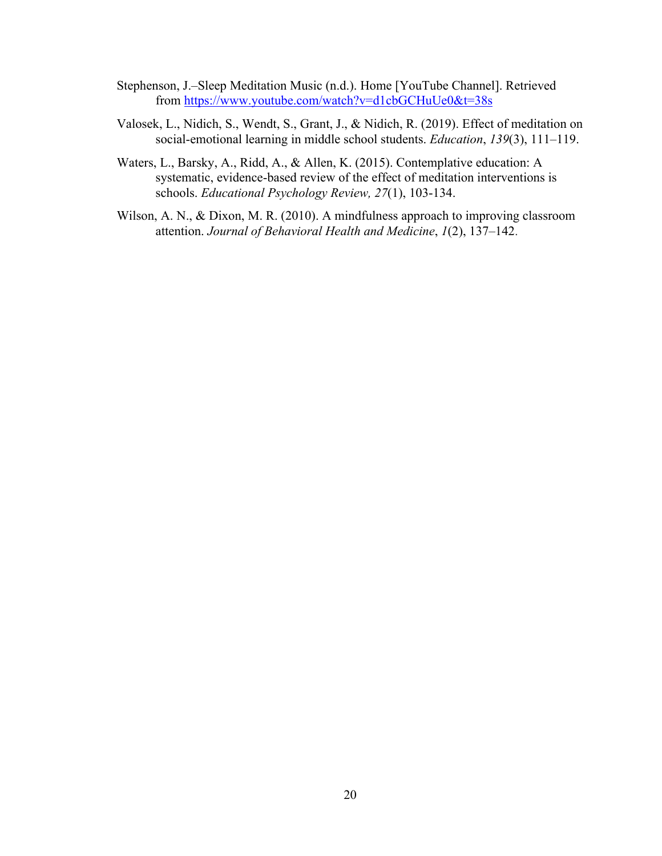- Stephenson, J.–Sleep Meditation Music (n.d.). Home [YouTube Channel]. Retrieved from https://www.youtube.com/watch?v=d1cbGCHuUe0&t=38s
- Valosek, L., Nidich, S., Wendt, S., Grant, J., & Nidich, R. (2019). Effect of meditation on social-emotional learning in middle school students. *Education*, *139*(3), 111–119.
- Waters, L., Barsky, A., Ridd, A., & Allen, K. (2015). Contemplative education: A systematic, evidence-based review of the effect of meditation interventions is schools. *Educational Psychology Review, 27*(1), 103-134.
- Wilson, A. N., & Dixon, M. R. (2010). A mindfulness approach to improving classroom attention. *Journal of Behavioral Health and Medicine*, *1*(2), 137–142.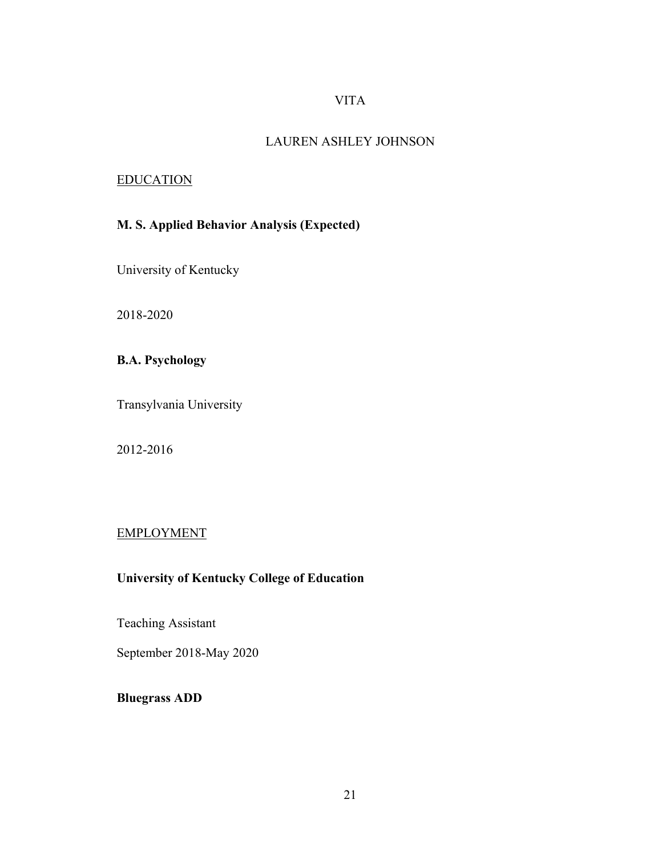# VITA

### LAUREN ASHLEY JOHNSON

### EDUCATION

# **M. S. Applied Behavior Analysis (Expected)**

University of Kentucky

2018-2020

# **B.A. Psychology**

Transylvania University

2012-2016

# EMPLOYMENT

# **University of Kentucky College of Education**

Teaching Assistant

September 2018-May 2020

**Bluegrass ADD**